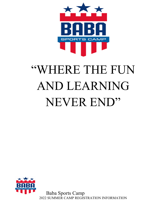

# "WHERE THE FUN AND LEARNING NEVER END"



Baba Sports Camp 2022 SUMMER CAMP REGISTRATION INFORMATION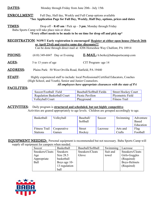## **DATES:** Monday through Friday from June 20th - July 15th

**ENROLLMENT:** Full Day, Half day, Weekly and Full Camp options available **\*See Application Page for Full Day, Weekly, Half Day, options, prices and dates**

TIMES: Drop off – **8:45 am** / Pick up – **3 pm**; Monday through Friday Baba Sports Camp will take place rain or shine **\*Every effort needs to be made to be on time for drop off and pick up\***

REGISTRATION: **NOW!! Early registration is encouraged! Register at either open house (March 26th or April 23rd) and receive same day discounts!!!**

Can be done through direct mail at: 4206 Horseshoe Way Chalfont, PA 18914

- **PHONE:** (610) 349-6847 Day or Evening  $E\text{-}MAIL$ : b.berke@babasportscamp.com
- AGES: 5 to 13 years of age CIT Program- age 14

ADDRESS: Plains Park: 50 West Orvilla Road, Hatfield, PA 19440

**STAFF:** Highly experienced staff to include: local Professional/Certified Educators, Coaches (High School, and Youth), Senior and Junior Counselors.

*All employees have appropriate clearances with the state of PA*

## FACILITIES:

| Soccer/Football Field              | Baseball/Softball Fields | Street Hockey Court     |
|------------------------------------|--------------------------|-------------------------|
| <b>Regulation Basketball Court</b> | Picnic Pavilion          | <b>Plyometric Field</b> |
| Volleyball Court                   | Playground               | Fitness Trail           |

### ACTIVITIES: Daily program is **structured and scheduled, but not highly competitive**. Activities are geared appropriately to age levels. Children are grouped accordingly to age.

| Basketball      | Volleyball  | Baseball/<br>Softball | Soccer   | Swimming | Adventure<br>Based<br>Education |
|-----------------|-------------|-----------------------|----------|----------|---------------------------------|
| Fitness Trail   | Cooperative | <b>Street</b>         | Lacrosse | Arts and | Flag                            |
| <b>Stations</b> | Games       | Hockey                |          | Crafts   | Football                        |

**EQUIPMENT NEEDED:** Personal equipment is recommended but not necessary. Baba Sports Camp will supply all equipment for campers when needed.

| Soccer          | Basketball      | Baseball/Softball | Swimming | Lacrosse        |
|-----------------|-----------------|-------------------|----------|-----------------|
| Sneakers/Cleats | <b>Sneakers</b> | Sneakers/Cleats   | Suit and | Sneakers/Cleats |
| Age             | Size $28.5$     | Glove             | towel    | Girls-Goggles   |
| Appropriate     | basketball      |                   |          | (Required)      |
| <b>Ball</b>     | Boys age 10-    |                   |          | Boys-Helmets    |
|                 | 13 regulation   |                   |          | (Required)      |
|                 | ball            |                   |          |                 |

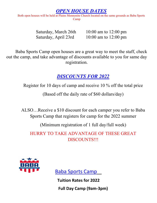## *OPEN HOUSE DATES*

Both open houses will be held at Plains Mennonite Church located on the same grounds as Baba Sports Camp

Saturday, March 26th 10:00 am to 12:00 pm Saturday, April 23rd 10:00 am to 12:00 pm

Baba Sports Camp open houses are a great way to meet the staff, check out the camp, and take advantage of discounts available to you for same day registration.

# *DISCOUNTS FOR 2022*

Register for 10 days of camp and receive 10 % off the total price

(Based off the daily rate of \$60 dollars/day)

ALSO…Receive a \$10 discount for each camper you refer to Baba Sports Camp that registers for camp for the 2022 summer

(Minimum registration of 1 full day/full week)

HURRY TO TAKE ADVANTAGE OF THESE GREAT DISCOUNTS!!!



Baba Sports Camp

 **Tuition Rates for 2022 Full Day Camp (9am-3pm)**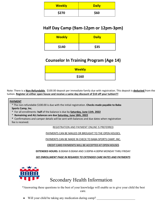| <b>Weekly</b> | <b>Daily</b> |
|---------------|--------------|
| \$270         | \$60         |

## **Half Day Camp (9am-12pm or 12pm-3pm)**

| <b>Weekly</b> | <b>Daily</b> |
|---------------|--------------|
| \$140         | \$35         |

## **Counselor In Training Program (Age 14)**

| <b>Weekly</b> |  |
|---------------|--|
| \$160         |  |

Note: There is a **Non-Refundable** \$100.00 deposit per immediate family due with registration. This deposit is **deducted** from the tuition. **Register at either open house and receive a same day discount of \$10 off your tuition!!!**

#### **PAYMENT**

● \* The non-refundable \$100.00 is due with the initial registration. **Checks made payable to Baba** ● **Sports Camp, Inc.**

● \* For all enrollments- **half** of the balance is due by **Saturday, June 11th. 2022**

● \* **Remaining and ALL balances are due Saturday, June 18th, 2022**

● **\*** Confirmations and camper details will be sent with balances and due dates when registration fee is received.

REGISTRATION AND PAYMENT ONLINE IS PREFERRED

PAYMENTS CAN BE MAILED OR BROUGHT TO THE OPEN HOUSES.

PAYMENTS CAN BE MADE IN CHECK TO BABA SPORTS CAMP, INC.

CREDIT CARD PAYMENTS WILL BE ACCEPTED AT OPEN HOUSES

**EXTENDED HOURS:** 8:00AM-9:00AM AND 3:00PM-4:00PM MONDAY THRU FRIDAY

*SEE ENROLLMENT PAGE IN REGARDS TO EXTENDED CARE RATES AND PAYMENTS*



# Secondary Health Information

\*Answering these questions to the best of your knowledge will enable us to give your child the best care.

• Will your child be taking any medication during camp?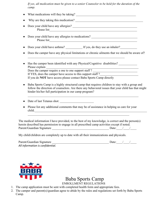*If yes, all medication must be given to a senior Counselor to be held for the duration of the camp.* 

- What medications will they be taking?
- Why are they taking this medication?
- Does your child have any allergies? \_\_\_\_\_\_\_\_\_\_\_\_\_\_\_\_\_\_\_\_\_\_\_\_\_\_\_\_\_\_\_\_\_\_\_\_\_\_\_\_\_\_ Please list
- Does your child have any allergies to medications? Please list
- Does your child have asthma? \_\_\_\_\_\_\_\_\_\_\_\_\_\_ If yes, do they use an inhaler?
- Does the camper have any physical limitations or chronic ailments that we should be aware of?
- Has the camper been identified with any Physical/Cognitive disabilities? Please explain Does the camper require a one to one support staff ? If YES, does the camper have access to this support staff? If you do **NOT** have access please contact Baba Sports Camp directly
- Baba Sports Camp is a highly structured camp that requires children to stay with a group and follow the direction of counselors. Are there any behavioral issues that your child has that might hinder his/her full participation in our camp program?
- Date of last Tetanus shot:
- Please list any additional comments that may be of assistance in helping us care for your child.

The medical information I have provided, to the best of my knowledge, is correct and the person(s) herein described has permission to engage in all prescribed camp activities except if noted. Parent/Guardian Signature \_\_\_\_\_\_\_\_\_\_\_\_\_\_\_\_\_\_\_\_\_\_\_\_\_\_\_\_\_\_\_\_\_\_\_\_\_ Date:\_\_\_\_/\_\_\_\_/\_\_\_\_

My child/children are completely up to date with all their immunizations and physicals.

| Parent/Guardian Signature        | Date: $/$ / |
|----------------------------------|-------------|
| All information is confidential. |             |



# Baba Sports Camp

ENROLLMENT REGULATIONS

- 1. The camp application must be sent with completed health form and appropriate fees.
- 2. The camper and parent(s)/guardian agree to abide by the rules and regulations set forth by Baba Sports Camp.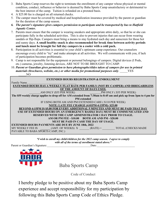- 3. Baba Sports Camp reserves the right to terminate the enrollment of any camper whose physical or mental condition, conduct, influence or behavior is deemed by Baba Sports Camp unsatisfactory or detrimental to the best interest of the camp. Tuition is refunded on a prorated basis.
- 4. A \$25.00 fee is charged on all returned checks.
- 5. The camper must be covered by medical and hospitalization insurance provided by the parent or guardian for the duration of the camp season.
- *6. The parent's signature gives campers permission to participate and be transported by bus to Hatfield Aquatic Center.*
- 7. Parents must ensure that the camper is wearing sneakers and appropriate attire daily, so that he or she can participate fully in the scheduled activities. This is also to prevent injuries that can occur from wearing sandals or flip-flops. Campers must bring a means to stay hydrated each day and sunscreen for those hot and sunny days. **A small healthy snack is also recommended for break time between activity periods and lunch must be brought for full day campers in a cooler with a cold pack.**
- 8. Participation in all activities is essential to your child's optimum camp experience. Our counselors encourage every child to "try" and make attempts at all activities. We will communicate with you, if lack of participation becomes problematic.
- 9. Camp is not responsible for the equipment or personal belongings of campers. Digital devices (I Pods, etc.) cameras, jewelry, listening devices, ARE NOT TO BE BROUGHT TO CAMP.
- 10. *Parent or Guardian gives permission to have photographs/slides taken of campers for use in printed materials (brochures, website, etc.) or other media for promotional purposes only.* YES

\_\_\_\_\_NO

#### **EXTENDED HOURS REGISTRATION & ENROLLMENT** Family Name **EXTENDED HOURS HAS A WEEKLY FLAT RATE PER FAMILY (NOT BY CAMPER) AND IRREGARDLESS OF THE AMOUNT OF DAYS USED.** AM ONLY (\$55 PER WEEK) PM ONLY (\$55 PER WEEK) **The \$55 weekly charge applies to drop off for AM extended from 7:30am to 8:45 am and pick up from 3pm to 4 pm for PM extended** IF USING BOTH AM AND PM EXTENDED CARE ( \$110 PER WEEK) **NOTE: LATE FEE CHARGE (4:01PM-4:15PM)- \$25.00 BEYOND 4:15PM IS \$5.00 FOR EVERY ADDITIONAL 5 MINUTES AND MUST BE PAID THAT DAY USE OF EXTENDED HOURS ON AN EMERGENCY BASIS(1 DAY) MUST BE COMMUNICATED AND RESERVED WITH THE CAMP ADMINISTRATOR 1 DAY PRIOR TO USAGE. AM OR PM FEE - \$10.00 BOTH AM AND PM - \$20.00 MUST BE PAID IN CASH THE DAY OF USAGE. EXTENDED HOURS PAYMENTS ARE DUE BY JUNE 18th, 2022** MY WEEKLY FEE IS  $(AMT. OF WE EKS)$   $X$   $(RATE) =$   $TOTAL$  (CHECKS MADE PAYABLE TO BABA SPORTS CAMP, INC.)

*\*I wish to enroll my child/children for the 2022 camp season. I agree to comply with all of the terms of enrollment stated above.\**

Parent or Guardian's Signature:\_\_\_\_\_\_\_\_\_\_\_\_\_\_\_\_\_\_\_\_\_\_\_\_\_\_\_\_\_\_\_Date:\_\_\_\_\_\_\_\_\_\_\_\_\_\_\_\_\_\_\_\_\_\_\_\_\_\_\_





Baba Sports Camp

Code of Conduct

I hereby pledge to be positive about my Baba Sports Camp experience and accept responsibility for my participation by following this Baba Sports Camp Code of Ethics Pledge.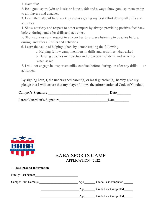1. Have fun!

2. Be a good sport (win or lose); be honest, fair and always show good sportsmanship to all players and coaches.

3. Learn the value of hard work by always giving my best effort during all drills and activities.

4. Show courtesy and respect to other campers by always providing positive feedback before, during, and after drills and activities.

5. Show courtesy and respect to all coaches by always listening to coaches before, during, and after all drills and activities.

6. Learn the value of helping others by demonstrating the following:

- a. Helping fellow camp members in drills and activities when asked
- b. Helping coaches in the setup and breakdown of drills and activities when asked

7. I will not engage in unsportsmanlike conduct before, during, or after any drills or activities.

By signing here, I, the undersigned parent(s) or legal guardian(s), hereby give my pledge that I will ensure that my player follows the aforementioned Code of Conduct.

| Camper's Signature          | Date |
|-----------------------------|------|
| Parent/Guardian's Signature | Date |



## BABA SPORTS CAMP APPLICATION - 2022

## **1. Background Information**

| <b>Family Last Name:</b> |     |                      |
|--------------------------|-----|----------------------|
| Camper First Name(s)     | Age | Grade Last completed |
|                          | Age | Grade Last Completed |
|                          | Age | Grade Last Completed |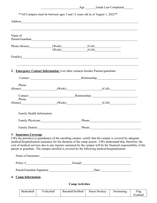|                                                                                                                                                                                                                                                                                                                                                                                                                                                                       | ** All Campers must be between ages 5 and 13 years old as of August 1, 2022** |                        |        |  |
|-----------------------------------------------------------------------------------------------------------------------------------------------------------------------------------------------------------------------------------------------------------------------------------------------------------------------------------------------------------------------------------------------------------------------------------------------------------------------|-------------------------------------------------------------------------------|------------------------|--------|--|
| Address                                                                                                                                                                                                                                                                                                                                                                                                                                                               |                                                                               |                        |        |  |
| Name of<br>Parent/Guardian                                                                                                                                                                                                                                                                                                                                                                                                                                            |                                                                               |                        |        |  |
| Phone (Home) (Work) (Cell)<br>(Work) (Cell)                                                                                                                                                                                                                                                                                                                                                                                                                           |                                                                               |                        |        |  |
|                                                                                                                                                                                                                                                                                                                                                                                                                                                                       |                                                                               |                        |        |  |
| 2. Emergency Contact Information: List other contacts besides Parents/guardians                                                                                                                                                                                                                                                                                                                                                                                       |                                                                               |                        |        |  |
|                                                                                                                                                                                                                                                                                                                                                                                                                                                                       |                                                                               |                        |        |  |
| Phone                                                                                                                                                                                                                                                                                                                                                                                                                                                                 |                                                                               |                        |        |  |
|                                                                                                                                                                                                                                                                                                                                                                                                                                                                       |                                                                               |                        |        |  |
| Phone                                                                                                                                                                                                                                                                                                                                                                                                                                                                 | Contact: Relationship: Relationship:                                          |                        |        |  |
|                                                                                                                                                                                                                                                                                                                                                                                                                                                                       |                                                                               |                        |        |  |
| Family Health Information:                                                                                                                                                                                                                                                                                                                                                                                                                                            |                                                                               |                        |        |  |
|                                                                                                                                                                                                                                                                                                                                                                                                                                                                       |                                                                               |                        | Phone: |  |
|                                                                                                                                                                                                                                                                                                                                                                                                                                                                       | Family Dentist: Phone: Phone: Phone:                                          |                        |        |  |
| 3. Insurance Coverage<br>I/We the parent(s) or guardian(s) of the enrolling camper, certify that the camper is covered by adequate<br>medical/hospitalization insurance for the duration of the camp season. I/We understand that, therefore, the<br>cost of medical services due to any injuries sustained by the camper will be the financial responsibility of the<br>parent or guardian. The camper enrolled is covered by the following medical/hospitalization. |                                                                               |                        |        |  |
|                                                                                                                                                                                                                                                                                                                                                                                                                                                                       |                                                                               |                        |        |  |
|                                                                                                                                                                                                                                                                                                                                                                                                                                                                       |                                                                               |                        |        |  |
|                                                                                                                                                                                                                                                                                                                                                                                                                                                                       |                                                                               |                        |        |  |
| <b>Camp Information</b><br>4.                                                                                                                                                                                                                                                                                                                                                                                                                                         |                                                                               |                        |        |  |
|                                                                                                                                                                                                                                                                                                                                                                                                                                                                       |                                                                               | <b>Camp Activities</b> |        |  |
|                                                                                                                                                                                                                                                                                                                                                                                                                                                                       | Basketball Volleyball Baseball/Softball Street Hockey Swimming Flag           |                        |        |  |

| Basketball | Vollevball | Baseball/Softball | <b>Street Hockey</b> | Swimming | Flag     |
|------------|------------|-------------------|----------------------|----------|----------|
|            |            |                   |                      |          | Football |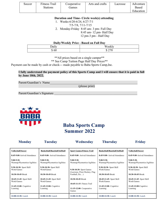| Soccer | Fitness Trail   | Cooperative | Arts and crafts | Lacrosse | Adventure |
|--------|-----------------|-------------|-----------------|----------|-----------|
|        | <b>Stations</b> | tames       |                 |          | Based     |
|        |                 |             |                 |          | Education |

**Duration and Time- Circle week(s) attending**

1. Weeks-6/20-6/24, 6/27-7/1

7/5-7/8, 7/11-7/15

2. Monday-Friday 8:45 am- 3 pm- Full Day 8:45 am- 12 pm- Half Day 12 pm-3 pm - Half Day

#### **Daily/Weekly Price - Based on Full Day**

| $\cdot$ $\cdot$<br>$D$ aily | Weekly                                                                   |
|-----------------------------|--------------------------------------------------------------------------|
| مہ<br>$\triangle$<br>200    | $\cap$<br>ጣ<br>◡<br>$\overline{\phantom{0}}$<br>$\overline{\phantom{0}}$ |

\*\*All prices based on a single camper\*\*

\*\* See Camp Tuition Page Half Day Prices\*\*

Payment can be made by cash or check--- made payable to Baba Sports Camp,Inc.

#### **I fully understand the payment policy of this Sports Camp and I will ensure that it is paid in full by June 18th, 2022.**

Parent/Guardian's Name

(please print)

Parent/Guardian's Signature



## **Baba Sports Camp Summer 2022**

| <b>Monday</b>                | Tuesday                       | Wednesday                        | <b>Thursday</b>                | <b>Friday</b>                |
|------------------------------|-------------------------------|----------------------------------|--------------------------------|------------------------------|
| Volleyball/Soccer            | Basketball/Baseball/Softball  | <b>Sport Games/Fitness Trail</b> | Basketball/Baseball/Softball   | <b>Volleyball/Soccer</b>     |
| 8:45-9:00-Arrival/Attendance | 8:45-9:00- Arrival/Attendance | $8:45-9:00$ - Arrival/Attendance | $8:45-9:00-Arrival/Attendance$ | 8:45-9:00-Arrival/Attendance |
| $9:00-9:30-$                 | $9:00-9:30-$                  | $9:00-9:30-$                     | $9:00-9:30-$                   | $9:00-9:30-$                 |
| Warmup/Plyometrics/Agilities | Warmup/Plyometrics/Agilities  | Warmup/Plyometrics/Agilities     | Warmup/Plyometrics/Agilities   | Warmup/Plyometrics/Agilities |
| 9:30-10:30- Sport Skill      | 9:30-10:30- Sport Skill       | 9:30-10:30- Sport Games          | 9:30-10:30- Sport Skill        | 9:30-10:30- Sport Skill      |
| Work/Games                   | Work/Games                    | (Lacrosse, Floor Hockey, Flag    | Work/Games                     | Work/Games                   |
| $10:30-10:45-Break$          | 10:30-10:45-Break             | Football, Etc)                   | $10:30-10:45-Break$            | $10:30-10:45-Break$          |
| 10:45-11:45- Sport Skill     | 10:45-11:45- Sport Skill      | $10:30-10:45-Brack$              | 10:45-11:45- Sport Skill       | 10:45-11:45- Sport Skill     |
| Work/Games                   | Work/Games                    | 10:45-11:15- Fitness Trail       | Work/Games                     | Work/Games                   |
| 11:45-12:00- Cognitive       | 11:45-12:00- Cognitive        | $11:15-12:00$ Cooperative        | 11:45-12:00- Cognitive         | $11:45-12:00$ -Cognitive     |
| Learning                     | Learning                      | Games                            | Learning                       | Learning                     |
| 12:00-12:30-Lunch            | 12:00-12:30-Lunch             | 12:00-12:30-Lunch                | 12:00-12:30-Lunch              | 12:00-12:30-Lunch            |